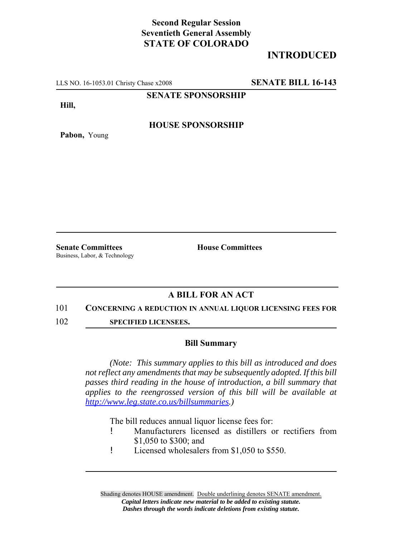## **Second Regular Session Seventieth General Assembly STATE OF COLORADO**

# **INTRODUCED**

LLS NO. 16-1053.01 Christy Chase x2008 **SENATE BILL 16-143**

**SENATE SPONSORSHIP**

**Hill,**

**Pabon,** Young

### **HOUSE SPONSORSHIP**

**Senate Committees House Committees** Business, Labor, & Technology

### **A BILL FOR AN ACT**

#### 101 **CONCERNING A REDUCTION IN ANNUAL LIQUOR LICENSING FEES FOR**

102 **SPECIFIED LICENSEES.**

#### **Bill Summary**

*(Note: This summary applies to this bill as introduced and does not reflect any amendments that may be subsequently adopted. If this bill passes third reading in the house of introduction, a bill summary that applies to the reengrossed version of this bill will be available at http://www.leg.state.co.us/billsummaries.)*

The bill reduces annual liquor license fees for:

- ! Manufacturers licensed as distillers or rectifiers from \$1,050 to \$300; and
- ! Licensed wholesalers from \$1,050 to \$550.

Shading denotes HOUSE amendment. Double underlining denotes SENATE amendment. *Capital letters indicate new material to be added to existing statute. Dashes through the words indicate deletions from existing statute.*